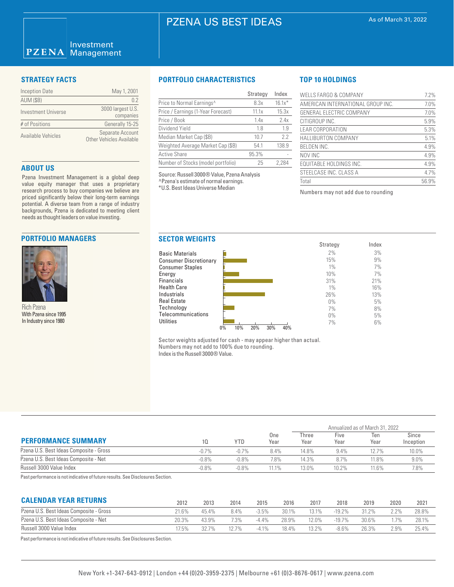# PZENA US BEST IDEAS

### Investment  $PZENA$ Management

| <b>Inception Date</b> | May 1, 2001                                         |
|-----------------------|-----------------------------------------------------|
| <b>AUM (\$B)</b>      | 0 <sub>2</sub>                                      |
| Investment Universe   | 3000 largest U.S.<br>companies                      |
| # of Positions        | Generally 15-25                                     |
| Available Vehicles    | Separate Account<br><b>Other Vehicles Available</b> |

### **ABOUT US**

Pzena Investment Management is a global deep value equity manager that uses a proprietary research process to buy companies we believe are priced significantly below their long-term earnings potential. A diverse team from a range of industry backgrounds, Pzena is dedicated to meeting client needs as thought leaders on value investing.

## **PORTFOLIO MANAGERS**



Rich Pzena With Pzena since 1995 In Industry since 1980

# **STRATEGY FACTS PORTFOLIO CHARACTERISTICS**

|                                       | Strategy | Index    |
|---------------------------------------|----------|----------|
| Price to Normal Earnings <sup>^</sup> | 8.3x     | $16.1x*$ |
| Price / Earnings (1-Year Forecast)    | 11.1x    | 15.3x    |
| Price / Book                          | 1.4x     | 2.4x     |
| Dividend Yield                        | 1.8      | 1.9      |
| Median Market Cap (\$B)               | 10.7     | 2.2      |
| Weighted Average Market Cap (\$B)     | 54.1     | 138.9    |
| <b>Active Share</b>                   | 95.3%    |          |
| Number of Stocks (model portfolio)    | 25       | 2.284    |

Source: Russell 3000® Value, Pzena Analysis ^Pzena's estimate of normal earnings. \*U.S. Best Ideas Universe Median

# **TOP 10 HOLDINGS**

| <b>WELLS FARGO &amp; COMPANY</b>  | 7.2%  |
|-----------------------------------|-------|
| AMERICAN INTERNATIONAL GROUP INC. | 7.0%  |
| GENERAL ELECTRIC COMPANY          | 7.0%  |
| CITIGROUP INC.                    | 5.9%  |
| <b>LEAR CORPORATION</b>           | 5.3%  |
| <b>HALLIBURTON COMPANY</b>        | 5.1%  |
| <b>BELDEN INC.</b>                | 4.9%  |
| NOV INC                           | 4.9%  |
| EQUITABLE HOLDINGS INC.           | 4.9%  |
| STEELCASE INC. CLASS A            | 4.7%  |
| Total                             | 56.9% |

Numbers may not add due to rounding



Sector weights adjusted for cash - may appear higher than actual. Numbers may not add to 100% due to rounding. Index is the Russell 3000® Value.

|                                         |         |            |             | Annualized as of March 31, 2022 |              |             |                    |  |
|-----------------------------------------|---------|------------|-------------|---------------------------------|--------------|-------------|--------------------|--|
| <b>PERFORMANCE SUMMARY</b>              | 10      | <b>YTD</b> | One<br>Year | Three<br>Year                   | Five<br>Year | Ten<br>Year | Since<br>Inception |  |
| Pzena U.S. Best Ideas Composite - Gross | $-0.7%$ | $-0.7%$    | 8.4%        | 14.8%                           | 9.4%         | 12.7%       | 10.0%              |  |
| Pzena U.S. Best Ideas Composite - Net   | $-0.8%$ | $-0.8%$    | 7.8%        | 14.3%                           | 8.7%         | 11.8%       | $9.0\%$            |  |
| Russell 3000 Value Index                | $-0.8%$ | $-0.8%$    | 11.1%       | 13.0%                           | 10.2%        | 11.6%       | 7.8%               |  |

Past performance is not indicative of future results. See Disclosures Section.

| <b>CALENDAR YEAR RETURNS</b>            | 2012  | 2013    | 2014    | 2015     | 2016  | 2017    | 2018     | 2019     | 2020    | 2021  |
|-----------------------------------------|-------|---------|---------|----------|-------|---------|----------|----------|---------|-------|
| Pzena U.S. Best Ideas Composite - Gross | 21.6% | 45.4%   | 8.4%    | $-3.5%$  | 30.1% | 13.1%   | $-19.2%$ | $31.2\%$ | $2.2\%$ | 28.8% |
| Pzena U.S. Best Ideas Composite - Net   | 20.3% | 43.9%   | 7.3%    | $-4.4\%$ | 28.9% | 12.0%   | $-19.7%$ | 30.6%    | $.7\%$  | 28.1% |
| Russell 3000 Value Index                | 7.5%  | $327\%$ | $127\%$ | $-4.1\%$ | 18.4% | $3.2\%$ | $-8.6\%$ | 26.3%    | $2.9\%$ | 25.4% |
|                                         |       |         |         |          |       |         |          |          |         |       |

Past performance is not indicative of future results. See Disclosures Section.